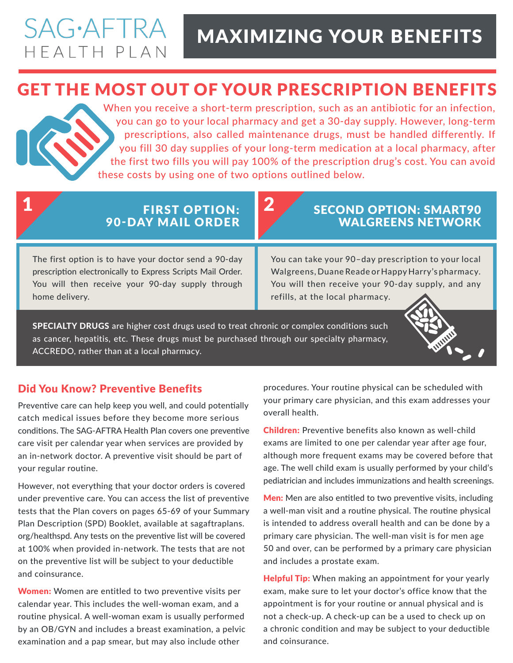# **SAG**·AFTRA HEALTH PLAN

# MAXIMIZING YOUR BENEFITS

## GET THE MOST OUT OF YOUR PRESCRIPTION BENEFITS

When you receive a short-term prescription, such as an antibiotic for an infection, you can go to your local pharmacy and get a 30-day supply. However, long-term prescriptions, also called maintenance drugs, must be handled differently. If you fill 30 day supplies of your long-term medication at a local pharmacy, after the first two fills you will pay 100% of the prescription drug's cost. You can avoid these costs by using one of two options outlined below.

### 1 FIRST OPTION: 2 90-DAY MAIL ORDER

### SECOND OPTION: SMART90 WALGREENS NETWORK

The first option is to have your doctor send a 90-day prescription electronically to Express Scripts Mail Order. You will then receive your 90-day supply through home delivery.

You can take your 90–day prescription to your local Walgreens, Duane Reade or Happy Harry's pharmacy. You will then receive your 90-day supply, and any refills, at the local pharmacy.

SPECIALTY DRUGS are higher cost drugs used to treat chronic or complex conditions such as cancer, hepatitis, etc. These drugs must be purchased through our specialty pharmacy, ACCREDO, rather than at a local pharmacy.

### Did You Know? Preventive Benefits

Preventive care can help keep you well, and could potentially catch medical issues before they become more serious conditions. The SAG-AFTRA Health Plan covers one preventive care visit per calendar year when services are provided by an in-network doctor. A preventive visit should be part of your regular routine.

However, not everything that your doctor orders is covered under preventive care. You can access the list of preventive tests that the Plan covers on pages 65-69 of your Summary Plan Description (SPD) Booklet, available at sagaftraplans. org/healthspd. Any tests on the preventive list will be covered at 100% when provided in-network. The tests that are not on the preventive list will be subject to your deductible and coinsurance.

Women: Women are entitled to two preventive visits per calendar year. This includes the well-woman exam, and a routine physical. A well-woman exam is usually performed by an OB/GYN and includes a breast examination, a pelvic examination and a pap smear, but may also include other

procedures. Your routine physical can be scheduled with your primary care physician, and this exam addresses your overall health.

Children: Preventive benefits also known as well-child exams are limited to one per calendar year after age four, although more frequent exams may be covered before that age. The well child exam is usually performed by your child's pediatrician and includes immunizations and health screenings.

Men: Men are also entitled to two preventive visits, including a well-man visit and a routine physical. The routine physical is intended to address overall health and can be done by a primary care physician. The well-man visit is for men age 50 and over, can be performed by a primary care physician and includes a prostate exam.

**Helpful Tip:** When making an appointment for your yearly exam, make sure to let your doctor's office know that the appointment is for your routine or annual physical and is not a check-up. A check-up can be a used to check up on a chronic condition and may be subject to your deductible and coinsurance.